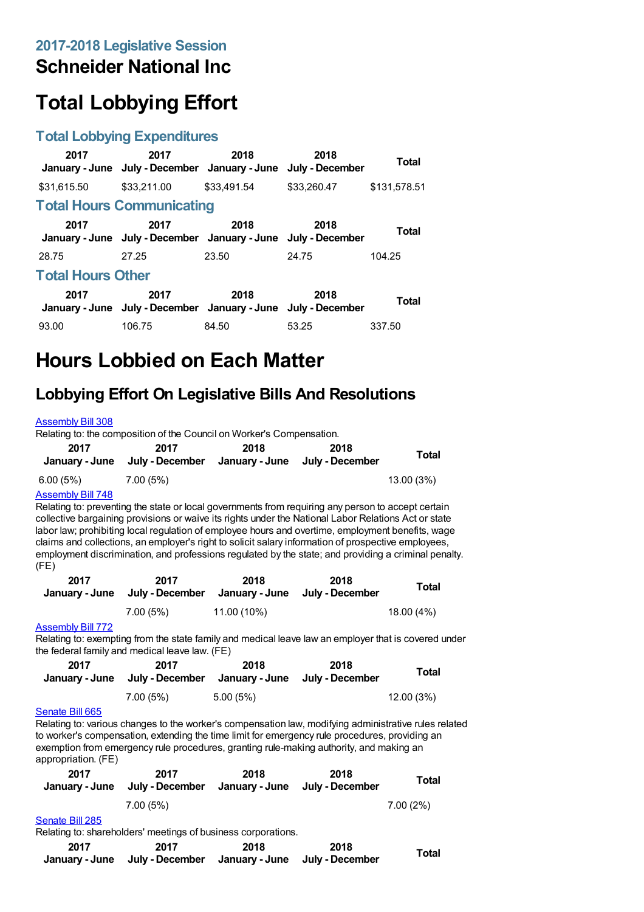# **Schneider National Inc**

# **Total Lobbying Effort**

### **Total Lobbying Expenditures**

| 2017                     | 2017<br>January - June July - December January - June                 | 2018        | 2018<br>July - December | Total        |  |  |
|--------------------------|-----------------------------------------------------------------------|-------------|-------------------------|--------------|--|--|
| \$31.615.50              | \$33,211.00                                                           | \$33.491.54 | \$33,260,47             | \$131,578.51 |  |  |
|                          | <b>Total Hours Communicating</b>                                      |             |                         |              |  |  |
| 2017                     | 2017<br>January - June July - December January - June July - December | 2018        | 2018                    | <b>Total</b> |  |  |
| 28.75                    | 27.25                                                                 | 23.50       | 24.75                   | 104.25       |  |  |
| <b>Total Hours Other</b> |                                                                       |             |                         |              |  |  |
| 2017                     | 2017<br>January - June July - December January - June July - December | 2018        | 2018                    | <b>Total</b> |  |  |
| 93.00                    | 106.75                                                                | 84.50       | 53.25                   | 337.50       |  |  |

# **Hours Lobbied on Each Matter**

# **Lobbying Effort On Legislative Bills And Resolutions**

#### [Assembly](https://lobbying.wi.gov/What/BillInformation/2017REG/Information/14340?tab=Efforts) Bill 308

Relating to: the composition of the Council on Worker's Compensation.

| July - December | July - December | Total      |
|-----------------|-----------------|------------|
| 7.00(5%)        |                 | 13.00 (3%) |
|                 | January - June  |            |

### [Assembly](https://lobbying.wi.gov/What/BillInformation/2017REG/Information/15286?tab=Efforts) Bill 748

Relating to: preventing the state or local governments from requiring any person to accept certain collective bargaining provisions or waive its rights under the National Labor Relations Act or state labor law; prohibiting local regulation of employee hours and overtime, employment benefits, wage claims and collections, an employer's right to solicit salary information of prospective employees, employment discrimination, and professions regulated by the state; and providing a criminal penalty. (FE)

| 2017 | 2017<br>January - June July - December January - June July - December | 2018        | 2018 | Total      |
|------|-----------------------------------------------------------------------|-------------|------|------------|
|      | 7.00(5%)                                                              | 11.00 (10%) |      | 18.00 (4%) |

### [Assembly](https://lobbying.wi.gov/What/BillInformation/2017REG/Information/15310?tab=Efforts) Bill 772

Relating to: exempting from the state family and medical leave law an employer that is covered under the federal family and medical leave law. (FE)

| 2017 | 2017<br>January - June     July - December     January - June     July - December | 2018     | 2018 | <b>Total</b> |
|------|-----------------------------------------------------------------------------------|----------|------|--------------|
|      | 7.00(5%)                                                                          | 5.00(5%) |      | 12.00 (3%)   |

#### [Senate](https://lobbying.wi.gov/What/BillInformation/2017REG/Information/15336?tab=Efforts) Bill 665

Relating to: various changes to the worker's compensation law, modifying administrative rules related to worker's compensation, extending the time limit for emergency rule procedures, providing an exemption from emergency rule procedures, granting rule-making authority, and making an appropriation. (FE)

| 2017            | 2017                                                          | 2018           | 2018            | Total        |
|-----------------|---------------------------------------------------------------|----------------|-----------------|--------------|
| January - June  | July - December                                               | January - June | July - December |              |
|                 | 7.00(5%)                                                      |                |                 | $7.00(2\%)$  |
| Senate Bill 285 | Relating to: shareholders' meetings of business corporations. |                |                 |              |
| 2017            | 2017                                                          | 2018           | 2018            | <b>Total</b> |
| January - June  | July - December                                               | January - June | July - December |              |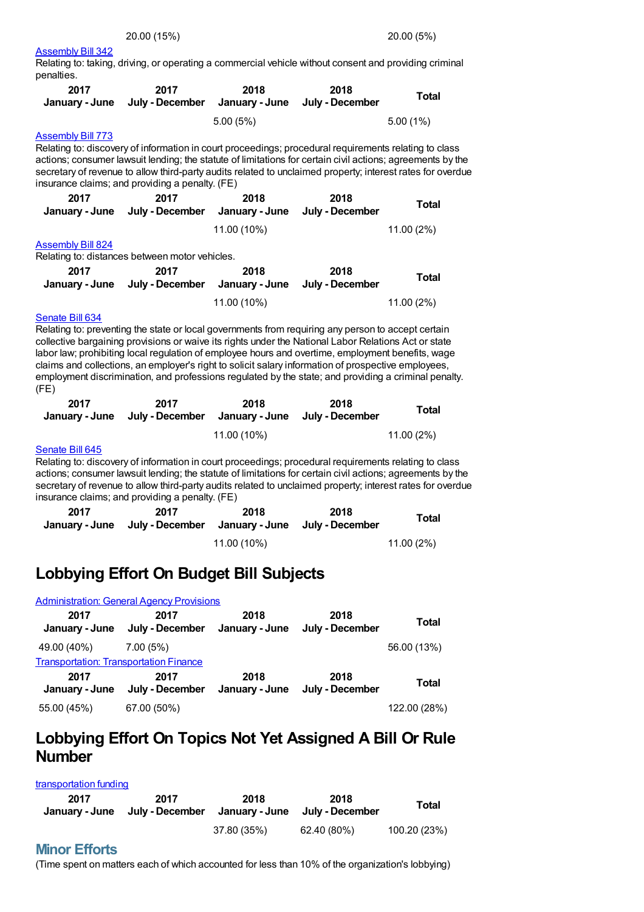#### [Assembly](https://lobbying.wi.gov/What/BillInformation/2017REG/Information/14412?tab=Efforts) Bill 342

Relating to: taking, driving, or operating a commercial vehicle without consent and providing criminal penalties.

| 2017 | 2017<br>January - June July - December January - June July - December | 2018     | 2018 | <b>Total</b> |
|------|-----------------------------------------------------------------------|----------|------|--------------|
|      |                                                                       | 5.00(5%) |      | $5.00(1\%)$  |

#### [Assembly](https://lobbying.wi.gov/What/BillInformation/2017REG/Information/15311?tab=Efforts) Bill 773

Relating to: discovery of information in court proceedings; procedural requirements relating to class actions; consumer lawsuit lending; the statute of limitations for certain civil actions; agreements by the secretary of revenue to allow third-party audits related to unclaimed property; interest rates for overdue insurance claims; and providing a penalty. (FE)

| 2017 | 2017<br>January - June July - December January - June July - December | 2018        | 2018 | <b>Total</b> |
|------|-----------------------------------------------------------------------|-------------|------|--------------|
|      |                                                                       | 11.00 (10%) |      | 11.00 (2%)   |

#### [Assembly](https://lobbying.wi.gov/What/BillInformation/2017REG/Information/15418?tab=Efforts) Bill 824

Relating to: distances between motor vehicles.

| 2017<br>January - June | 2017 | 2018<br>July - December January - June July - December | 2018 | Total      |
|------------------------|------|--------------------------------------------------------|------|------------|
|                        |      | 11.00 (10%)                                            |      | 11.00 (2%) |

#### [Senate](https://lobbying.wi.gov/What/BillInformation/2017REG/Information/15268?tab=Efforts) Bill 634

Relating to: preventing the state or local governments from requiring any person to accept certain collective bargaining provisions or waive its rights under the National Labor Relations Act or state labor law; prohibiting local regulation of employee hours and overtime, employment benefits, wage claims and collections, an employer's right to solicit salary information of prospective employees, employment discrimination, and professions regulated by the state; and providing a criminal penalty. (FE)

| 2017 | 2017<br>January - June July - December January - June | 2018        | 2018<br>July - December | <b>Total</b> |
|------|-------------------------------------------------------|-------------|-------------------------|--------------|
|      |                                                       | 11.00 (10%) |                         | 11.00 (2%)   |

#### [Senate](https://lobbying.wi.gov/What/BillInformation/2017REG/Information/15316?tab=Efforts) Bill 645

Relating to: discovery of information in court proceedings; procedural requirements relating to class actions; consumer lawsuit lending; the statute of limitations for certain civil actions; agreements by the secretary of revenue to allow third-party audits related to unclaimed property; interest rates for overdue insurance claims; and providing a penalty. (FE)

| 2017<br>Januarv - June | 2017<br>July - December January - June July - December | 2018        | 2018 | Total      |
|------------------------|--------------------------------------------------------|-------------|------|------------|
|                        |                                                        | 11.00 (10%) |      | 11.00 (2%) |

## **Lobbying Effort On Budget Bill Subjects**

|                                               | <b>Administration: General Agency Provisions</b> |                        |                         |              |
|-----------------------------------------------|--------------------------------------------------|------------------------|-------------------------|--------------|
| 2017<br>January - June                        | 2017<br>July - December                          | 2018<br>January - June | 2018<br>July - December | <b>Total</b> |
| 49.00 (40%)                                   | 7.00(5%)                                         |                        |                         | 56.00 (13%)  |
| <b>Transportation: Transportation Finance</b> |                                                  |                        |                         |              |
| 2017<br>January - June                        | 2017<br>July - December                          | 2018<br>January - June | 2018<br>July - December | <b>Total</b> |
| 55.00 (45%)                                   | 67.00 (50%)                                      |                        |                         | 122.00 (28%) |

## **Lobbying Effort On Topics Not Yet Assigned A Bill Or Rule Number**

#### [transportation](https://lobbying.wi.gov/What/TopicInformation/2017REG/Information/35760?tab=Efforts) funding

| 2017<br>January - June | 2017<br>July - December | 2018        | 2018<br>January - June July - December | Total        |
|------------------------|-------------------------|-------------|----------------------------------------|--------------|
|                        |                         | 37.80 (35%) | 62.40 (80%)                            | 100.20 (23%) |

### **Minor Efforts**

(Time spent on matters each of which accounted for less than 10% of the organization's lobbying)